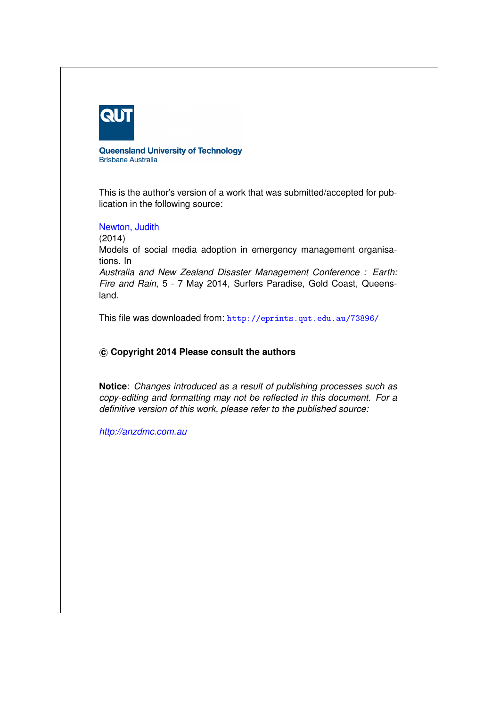

**Queensland University of Technology Brisbane Australia** 

This is the author's version of a work that was submitted/accepted for publication in the following source:

[Newton, Judith](http://eprints.qut.edu.au/view/person/Newton,_Judith.html)

(2014)

Models of social media adoption in emergency management organisations. In

*Australia and New Zealand Disaster Management Conference : Earth: Fire and Rain*, 5 - 7 May 2014, Surfers Paradise, Gold Coast, Queensland.

This file was downloaded from: <http://eprints.qut.edu.au/73896/>

# **c Copyright 2014 Please consult the authors**

**Notice**: *Changes introduced as a result of publishing processes such as copy-editing and formatting may not be reflected in this document. For a definitive version of this work, please refer to the published source:*

*<http://anzdmc.com.au>*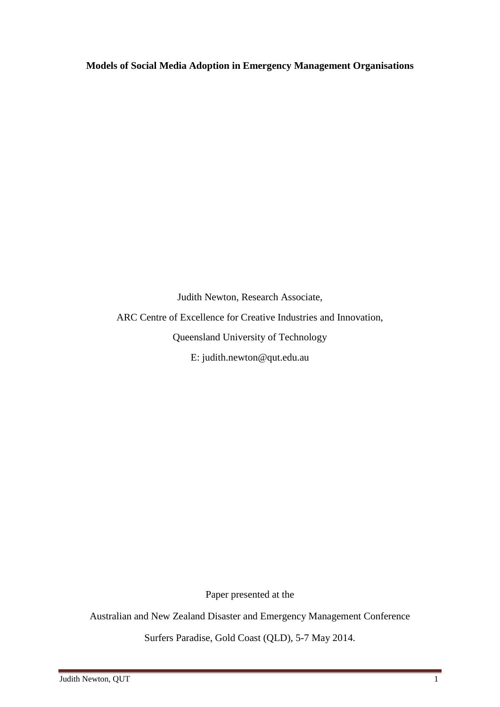**Models of Social Media Adoption in Emergency Management Organisations**

Judith Newton, Research Associate, ARC Centre of Excellence for Creative Industries and Innovation, Queensland University of Technology E: judith.newton@qut.edu.au

Paper presented at the

Australian and New Zealand Disaster and Emergency Management Conference

Surfers Paradise, Gold Coast (QLD), 5-7 May 2014.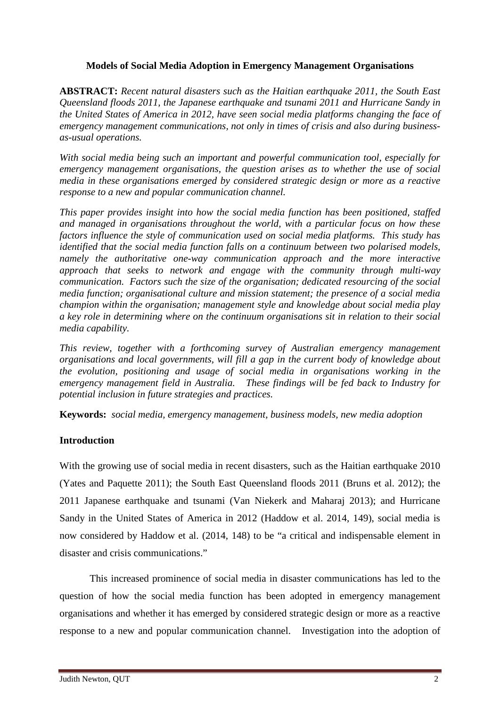# **Models of Social Media Adoption in Emergency Management Organisations**

**ABSTRACT:** *Recent natural disasters such as the Haitian earthquake 2011, the South East Queensland floods 2011, the Japanese earthquake and tsunami 2011 and Hurricane Sandy in the United States of America in 2012, have seen social media platforms changing the face of emergency management communications, not only in times of crisis and also during businessas-usual operations.*

*With social media being such an important and powerful communication tool, especially for emergency management organisations, the question arises as to whether the use of social media in these organisations emerged by considered strategic design or more as a reactive response to a new and popular communication channel.* 

*This paper provides insight into how the social media function has been positioned, staffed and managed in organisations throughout the world, with a particular focus on how these factors influence the style of communication used on social media platforms. This study has identified that the social media function falls on a continuum between two polarised models, namely the authoritative one-way communication approach and the more interactive approach that seeks to network and engage with the community through multi-way communication. Factors such the size of the organisation; dedicated resourcing of the social media function; organisational culture and mission statement; the presence of a social media champion within the organisation; management style and knowledge about social media play a key role in determining where on the continuum organisations sit in relation to their social media capability.* 

*This review, together with a forthcoming survey of Australian emergency management organisations and local governments, will fill a gap in the current body of knowledge about the evolution, positioning and usage of social media in organisations working in the emergency management field in Australia. These findings will be fed back to Industry for potential inclusion in future strategies and practices.*

**Keywords:** *social media, emergency management, business models, new media adoption*

# **Introduction**

With the growing use of social media in recent disasters, such as the Haitian earthquake 2010 (Yates and Paquette 2011); the South East Queensland floods 2011 (Bruns et al. 2012); the 2011 Japanese earthquake and tsunami (Van Niekerk and Maharaj 2013); and Hurricane Sandy in the United States of America in 2012 (Haddow et al. 2014, 149), social media is now considered by Haddow et al. (2014, 148) to be "a critical and indispensable element in disaster and crisis communications."

This increased prominence of social media in disaster communications has led to the question of how the social media function has been adopted in emergency management organisations and whether it has emerged by considered strategic design or more as a reactive response to a new and popular communication channel. Investigation into the adoption of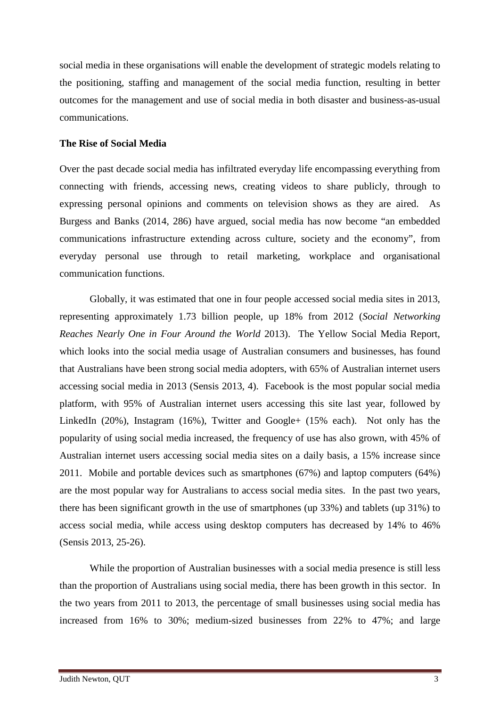social media in these organisations will enable the development of strategic models relating to the positioning, staffing and management of the social media function, resulting in better outcomes for the management and use of social media in both disaster and business-as-usual communications.

#### **The Rise of Social Media**

Over the past decade social media has infiltrated everyday life encompassing everything from connecting with friends, accessing news, creating videos to share publicly, through to expressing personal opinions and comments on television shows as they are aired. As Burgess and Banks (2014, 286) have argued, social media has now become "an embedded communications infrastructure extending across culture, society and the economy", from everyday personal use through to retail marketing, workplace and organisational communication functions.

Globally, it was estimated that one in four people accessed social media sites in 2013, representing approximately 1.73 billion people, up 18% from 2012 (*Social Networking Reaches Nearly One in Four Around the World* 2013). The Yellow Social Media Report, which looks into the social media usage of Australian consumers and businesses, has found that Australians have been strong social media adopters, with 65% of Australian internet users accessing social media in 2013 (Sensis 2013, 4). Facebook is the most popular social media platform, with 95% of Australian internet users accessing this site last year, followed by LinkedIn (20%), Instagram (16%), Twitter and Google+ (15% each). Not only has the popularity of using social media increased, the frequency of use has also grown, with 45% of Australian internet users accessing social media sites on a daily basis, a 15% increase since 2011. Mobile and portable devices such as smartphones (67%) and laptop computers (64%) are the most popular way for Australians to access social media sites. In the past two years, there has been significant growth in the use of smartphones (up 33%) and tablets (up 31%) to access social media, while access using desktop computers has decreased by 14% to 46% (Sensis 2013, 25-26).

While the proportion of Australian businesses with a social media presence is still less than the proportion of Australians using social media, there has been growth in this sector. In the two years from 2011 to 2013, the percentage of small businesses using social media has increased from 16% to 30%; medium-sized businesses from 22% to 47%; and large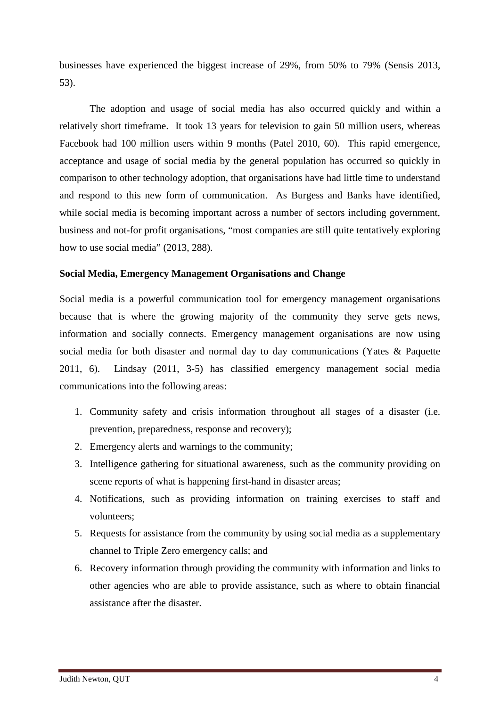businesses have experienced the biggest increase of 29%, from 50% to 79% (Sensis 2013, 53).

The adoption and usage of social media has also occurred quickly and within a relatively short timeframe. It took 13 years for television to gain 50 million users, whereas Facebook had 100 million users within 9 months (Patel 2010, 60). This rapid emergence, acceptance and usage of social media by the general population has occurred so quickly in comparison to other technology adoption, that organisations have had little time to understand and respond to this new form of communication. As Burgess and Banks have identified, while social media is becoming important across a number of sectors including government, business and not-for profit organisations, "most companies are still quite tentatively exploring how to use social media" (2013, 288).

### **Social Media, Emergency Management Organisations and Change**

Social media is a powerful communication tool for emergency management organisations because that is where the growing majority of the community they serve gets news, information and socially connects. Emergency management organisations are now using social media for both disaster and normal day to day communications (Yates & Paquette 2011, 6). Lindsay (2011, 3-5) has classified emergency management social media communications into the following areas:

- 1. Community safety and crisis information throughout all stages of a disaster (i.e. prevention, preparedness, response and recovery);
- 2. Emergency alerts and warnings to the community;
- 3. Intelligence gathering for situational awareness, such as the community providing on scene reports of what is happening first-hand in disaster areas;
- 4. Notifications, such as providing information on training exercises to staff and volunteers;
- 5. Requests for assistance from the community by using social media as a supplementary channel to Triple Zero emergency calls; and
- 6. Recovery information through providing the community with information and links to other agencies who are able to provide assistance, such as where to obtain financial assistance after the disaster.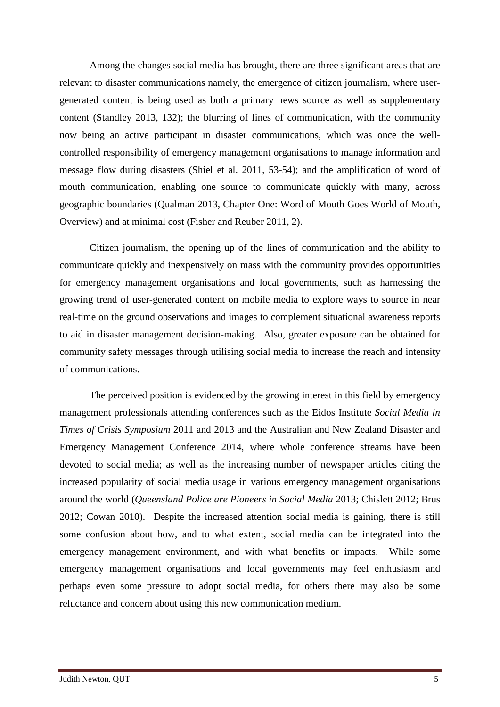Among the changes social media has brought, there are three significant areas that are relevant to disaster communications namely, the emergence of citizen journalism, where usergenerated content is being used as both a primary news source as well as supplementary content (Standley 2013, 132); the blurring of lines of communication, with the community now being an active participant in disaster communications, which was once the wellcontrolled responsibility of emergency management organisations to manage information and message flow during disasters (Shiel et al. 2011, 53-54); and the amplification of word of mouth communication, enabling one source to communicate quickly with many, across geographic boundaries (Qualman 2013, Chapter One: Word of Mouth Goes World of Mouth, Overview) and at minimal cost (Fisher and Reuber 2011, 2).

Citizen journalism, the opening up of the lines of communication and the ability to communicate quickly and inexpensively on mass with the community provides opportunities for emergency management organisations and local governments, such as harnessing the growing trend of user-generated content on mobile media to explore ways to source in near real-time on the ground observations and images to complement situational awareness reports to aid in disaster management decision-making. Also, greater exposure can be obtained for community safety messages through utilising social media to increase the reach and intensity of communications.

The perceived position is evidenced by the growing interest in this field by emergency management professionals attending conferences such as the Eidos Institute *Social Media in Times of Crisis Symposium* 2011 and 2013 and the Australian and New Zealand Disaster and Emergency Management Conference 2014, where whole conference streams have been devoted to social media; as well as the increasing number of newspaper articles citing the increased popularity of social media usage in various emergency management organisations around the world (*Queensland Police are Pioneers in Social Media* 2013; Chislett 2012; Brus 2012; Cowan 2010). Despite the increased attention social media is gaining, there is still some confusion about how, and to what extent, social media can be integrated into the emergency management environment, and with what benefits or impacts. While some emergency management organisations and local governments may feel enthusiasm and perhaps even some pressure to adopt social media, for others there may also be some reluctance and concern about using this new communication medium.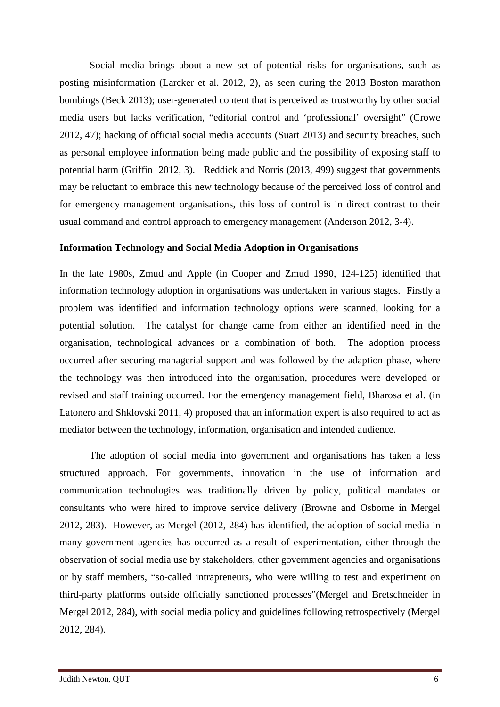Social media brings about a new set of potential risks for organisations, such as posting misinformation (Larcker et al. 2012, 2), as seen during the 2013 Boston marathon bombings (Beck 2013); user-generated content that is perceived as trustworthy by other social media users but lacks verification, "editorial control and 'professional' oversight" (Crowe 2012, 47); hacking of official social media accounts (Suart 2013) and security breaches, such as personal employee information being made public and the possibility of exposing staff to potential harm (Griffin 2012, 3). Reddick and Norris (2013, 499) suggest that governments may be reluctant to embrace this new technology because of the perceived loss of control and for emergency management organisations, this loss of control is in direct contrast to their usual command and control approach to emergency management (Anderson 2012, 3-4).

## **Information Technology and Social Media Adoption in Organisations**

In the late 1980s, Zmud and Apple (in Cooper and Zmud 1990, 124-125) identified that information technology adoption in organisations was undertaken in various stages. Firstly a problem was identified and information technology options were scanned, looking for a potential solution. The catalyst for change came from either an identified need in the organisation, technological advances or a combination of both. The adoption process occurred after securing managerial support and was followed by the adaption phase, where the technology was then introduced into the organisation, procedures were developed or revised and staff training occurred. For the emergency management field, Bharosa et al. (in Latonero and Shklovski 2011, 4) proposed that an information expert is also required to act as mediator between the technology, information, organisation and intended audience.

The adoption of social media into government and organisations has taken a less structured approach. For governments, innovation in the use of information and communication technologies was traditionally driven by policy, political mandates or consultants who were hired to improve service delivery (Browne and Osborne in Mergel 2012, 283). However, as Mergel (2012, 284) has identified, the adoption of social media in many government agencies has occurred as a result of experimentation, either through the observation of social media use by stakeholders, other government agencies and organisations or by staff members, "so-called intrapreneurs, who were willing to test and experiment on third-party platforms outside officially sanctioned processes"(Mergel and Bretschneider in Mergel 2012, 284), with social media policy and guidelines following retrospectively (Mergel 2012, 284).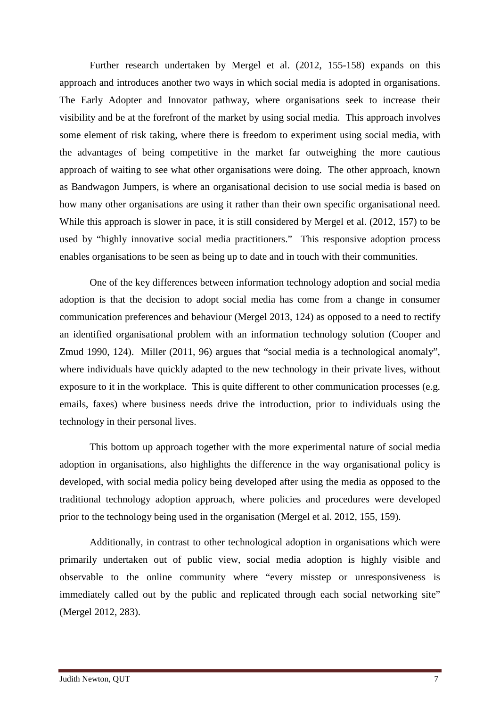Further research undertaken by Mergel et al. (2012, 155-158) expands on this approach and introduces another two ways in which social media is adopted in organisations. The Early Adopter and Innovator pathway, where organisations seek to increase their visibility and be at the forefront of the market by using social media. This approach involves some element of risk taking, where there is freedom to experiment using social media, with the advantages of being competitive in the market far outweighing the more cautious approach of waiting to see what other organisations were doing. The other approach, known as Bandwagon Jumpers, is where an organisational decision to use social media is based on how many other organisations are using it rather than their own specific organisational need. While this approach is slower in pace, it is still considered by Mergel et al. (2012, 157) to be used by "highly innovative social media practitioners." This responsive adoption process enables organisations to be seen as being up to date and in touch with their communities.

One of the key differences between information technology adoption and social media adoption is that the decision to adopt social media has come from a change in consumer communication preferences and behaviour (Mergel 2013, 124) as opposed to a need to rectify an identified organisational problem with an information technology solution (Cooper and Zmud 1990, 124). Miller (2011, 96) argues that "social media is a technological anomaly", where individuals have quickly adapted to the new technology in their private lives, without exposure to it in the workplace. This is quite different to other communication processes (e.g. emails, faxes) where business needs drive the introduction, prior to individuals using the technology in their personal lives.

This bottom up approach together with the more experimental nature of social media adoption in organisations, also highlights the difference in the way organisational policy is developed, with social media policy being developed after using the media as opposed to the traditional technology adoption approach, where policies and procedures were developed prior to the technology being used in the organisation (Mergel et al. 2012, 155, 159).

Additionally, in contrast to other technological adoption in organisations which were primarily undertaken out of public view, social media adoption is highly visible and observable to the online community where "every misstep or unresponsiveness is immediately called out by the public and replicated through each social networking site" (Mergel 2012, 283).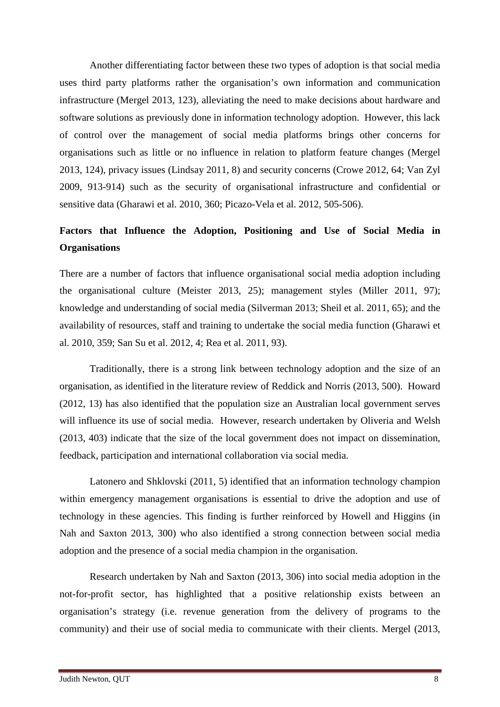Another differentiating factor between these two types of adoption is that social media uses third party platforms rather the organisation's own information and communication infrastructure (Mergel 2013, 123), alleviating the need to make decisions about hardware and software solutions as previously done in information technology adoption. However, this lack of control over the management of social media platforms brings other concerns for organisations such as little or no influence in relation to platform feature changes (Mergel 2013, 124), privacy issues (Lindsay 2011, 8) and security concerns (Crowe 2012, 64; Van Zyl 2009, 913-914) such as the security of organisational infrastructure and confidential or sensitive data (Gharawi et al. 2010, 360; Picazo-Vela et al. 2012, 505-506).

# **Factors that Influence the Adoption, Positioning and Use of Social Media in Organisations**

There are a number of factors that influence organisational social media adoption including the organisational culture (Meister 2013, 25); management styles (Miller 2011, 97); knowledge and understanding of social media (Silverman 2013; Sheil et al. 2011, 65); and the availability of resources, staff and training to undertake the social media function (Gharawi et al. 2010, 359; San Su et al. 2012, 4; Rea et al. 2011, 93).

Traditionally, there is a strong link between technology adoption and the size of an organisation, as identified in the literature review of Reddick and Norris (2013, 500). Howard (2012, 13) has also identified that the population size an Australian local government serves will influence its use of social media. However, research undertaken by Oliveria and Welsh (2013, 403) indicate that the size of the local government does not impact on dissemination, feedback, participation and international collaboration via social media.

Latonero and Shklovski (2011, 5) identified that an information technology champion within emergency management organisations is essential to drive the adoption and use of technology in these agencies. This finding is further reinforced by Howell and Higgins (in Nah and Saxton 2013, 300) who also identified a strong connection between social media adoption and the presence of a social media champion in the organisation.

Research undertaken by Nah and Saxton (2013, 306) into social media adoption in the not-for-profit sector, has highlighted that a positive relationship exists between an organisation's strategy (i.e. revenue generation from the delivery of programs to the community) and their use of social media to communicate with their clients. Mergel (2013,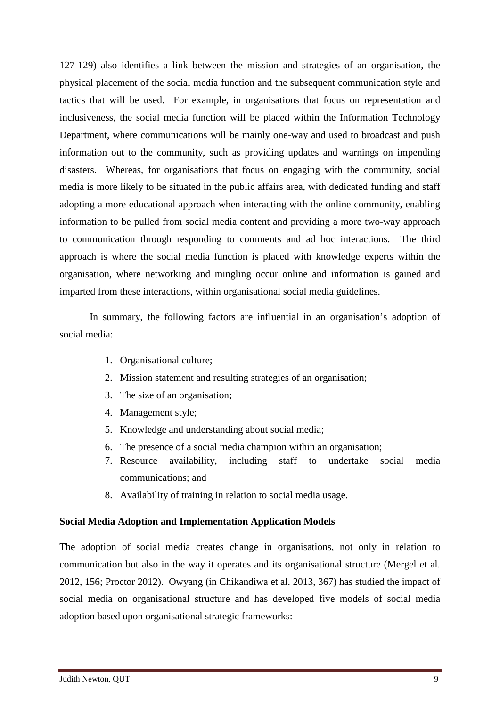127-129) also identifies a link between the mission and strategies of an organisation, the physical placement of the social media function and the subsequent communication style and tactics that will be used. For example, in organisations that focus on representation and inclusiveness, the social media function will be placed within the Information Technology Department, where communications will be mainly one-way and used to broadcast and push information out to the community, such as providing updates and warnings on impending disasters. Whereas, for organisations that focus on engaging with the community, social media is more likely to be situated in the public affairs area, with dedicated funding and staff adopting a more educational approach when interacting with the online community, enabling information to be pulled from social media content and providing a more two-way approach to communication through responding to comments and ad hoc interactions. The third approach is where the social media function is placed with knowledge experts within the organisation, where networking and mingling occur online and information is gained and imparted from these interactions, within organisational social media guidelines.

In summary, the following factors are influential in an organisation's adoption of social media:

- 1. Organisational culture;
- 2. Mission statement and resulting strategies of an organisation;
- 3. The size of an organisation;
- 4. Management style;
- 5. Knowledge and understanding about social media;
- 6. The presence of a social media champion within an organisation;
- 7. Resource availability, including staff to undertake social media communications; and
- 8. Availability of training in relation to social media usage.

### **Social Media Adoption and Implementation Application Models**

The adoption of social media creates change in organisations, not only in relation to communication but also in the way it operates and its organisational structure (Mergel et al. 2012, 156; Proctor 2012). Owyang (in Chikandiwa et al. 2013, 367) has studied the impact of social media on organisational structure and has developed five models of social media adoption based upon organisational strategic frameworks: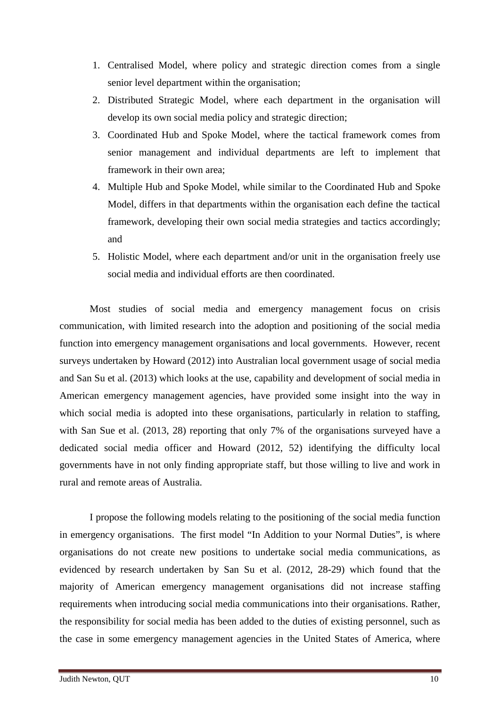- 1. Centralised Model, where policy and strategic direction comes from a single senior level department within the organisation;
- 2. Distributed Strategic Model, where each department in the organisation will develop its own social media policy and strategic direction;
- 3. Coordinated Hub and Spoke Model, where the tactical framework comes from senior management and individual departments are left to implement that framework in their own area;
- 4. Multiple Hub and Spoke Model, while similar to the Coordinated Hub and Spoke Model, differs in that departments within the organisation each define the tactical framework, developing their own social media strategies and tactics accordingly; and
- 5. Holistic Model, where each department and/or unit in the organisation freely use social media and individual efforts are then coordinated.

Most studies of social media and emergency management focus on crisis communication, with limited research into the adoption and positioning of the social media function into emergency management organisations and local governments. However, recent surveys undertaken by Howard (2012) into Australian local government usage of social media and San Su et al. (2013) which looks at the use, capability and development of social media in American emergency management agencies, have provided some insight into the way in which social media is adopted into these organisations, particularly in relation to staffing, with San Sue et al. (2013, 28) reporting that only 7% of the organisations surveyed have a dedicated social media officer and Howard (2012, 52) identifying the difficulty local governments have in not only finding appropriate staff, but those willing to live and work in rural and remote areas of Australia.

I propose the following models relating to the positioning of the social media function in emergency organisations. The first model "In Addition to your Normal Duties", is where organisations do not create new positions to undertake social media communications, as evidenced by research undertaken by San Su et al. (2012, 28-29) which found that the majority of American emergency management organisations did not increase staffing requirements when introducing social media communications into their organisations. Rather, the responsibility for social media has been added to the duties of existing personnel, such as the case in some emergency management agencies in the United States of America, where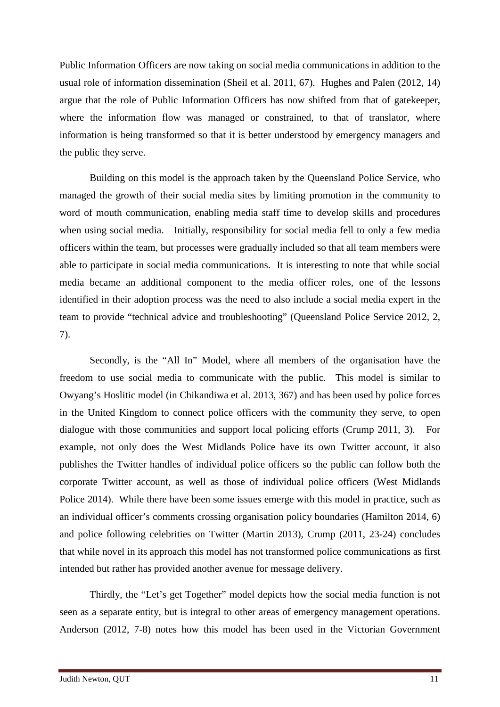Public Information Officers are now taking on social media communications in addition to the usual role of information dissemination (Sheil et al. 2011, 67). Hughes and Palen (2012, 14) argue that the role of Public Information Officers has now shifted from that of gatekeeper, where the information flow was managed or constrained, to that of translator, where information is being transformed so that it is better understood by emergency managers and the public they serve.

Building on this model is the approach taken by the Queensland Police Service, who managed the growth of their social media sites by limiting promotion in the community to word of mouth communication, enabling media staff time to develop skills and procedures when using social media. Initially, responsibility for social media fell to only a few media officers within the team, but processes were gradually included so that all team members were able to participate in social media communications. It is interesting to note that while social media became an additional component to the media officer roles, one of the lessons identified in their adoption process was the need to also include a social media expert in the team to provide "technical advice and troubleshooting" (Queensland Police Service 2012, 2, 7).

Secondly, is the "All In" Model, where all members of the organisation have the freedom to use social media to communicate with the public. This model is similar to Owyang's Hoslitic model (in Chikandiwa et al. 2013, 367) and has been used by police forces in the United Kingdom to connect police officers with the community they serve, to open dialogue with those communities and support local policing efforts (Crump 2011, 3). For example, not only does the West Midlands Police have its own Twitter account, it also publishes the Twitter handles of individual police officers so the public can follow both the corporate Twitter account, as well as those of individual police officers (West Midlands Police 2014). While there have been some issues emerge with this model in practice, such as an individual officer's comments crossing organisation policy boundaries (Hamilton 2014, 6) and police following celebrities on Twitter (Martin 2013), Crump (2011, 23-24) concludes that while novel in its approach this model has not transformed police communications as first intended but rather has provided another avenue for message delivery.

Thirdly, the "Let's get Together" model depicts how the social media function is not seen as a separate entity, but is integral to other areas of emergency management operations. Anderson (2012, 7-8) notes how this model has been used in the Victorian Government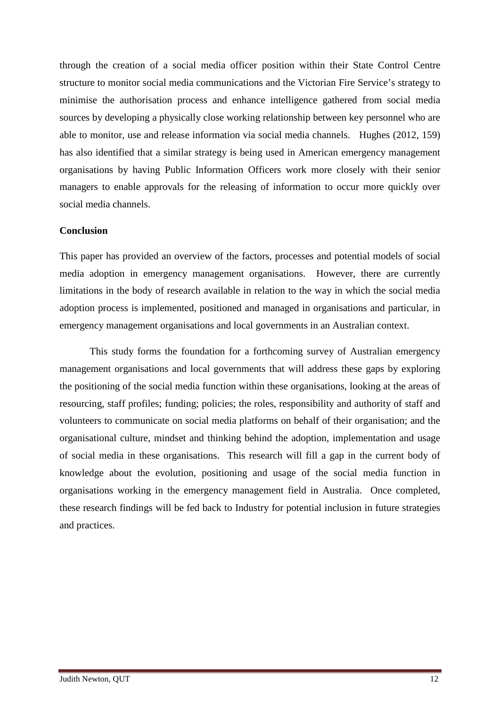through the creation of a social media officer position within their State Control Centre structure to monitor social media communications and the Victorian Fire Service's strategy to minimise the authorisation process and enhance intelligence gathered from social media sources by developing a physically close working relationship between key personnel who are able to monitor, use and release information via social media channels. Hughes (2012, 159) has also identified that a similar strategy is being used in American emergency management organisations by having Public Information Officers work more closely with their senior managers to enable approvals for the releasing of information to occur more quickly over social media channels.

## **Conclusion**

This paper has provided an overview of the factors, processes and potential models of social media adoption in emergency management organisations. However, there are currently limitations in the body of research available in relation to the way in which the social media adoption process is implemented, positioned and managed in organisations and particular, in emergency management organisations and local governments in an Australian context.

This study forms the foundation for a forthcoming survey of Australian emergency management organisations and local governments that will address these gaps by exploring the positioning of the social media function within these organisations, looking at the areas of resourcing, staff profiles; funding; policies; the roles, responsibility and authority of staff and volunteers to communicate on social media platforms on behalf of their organisation; and the organisational culture, mindset and thinking behind the adoption, implementation and usage of social media in these organisations. This research will fill a gap in the current body of knowledge about the evolution, positioning and usage of the social media function in organisations working in the emergency management field in Australia. Once completed, these research findings will be fed back to Industry for potential inclusion in future strategies and practices.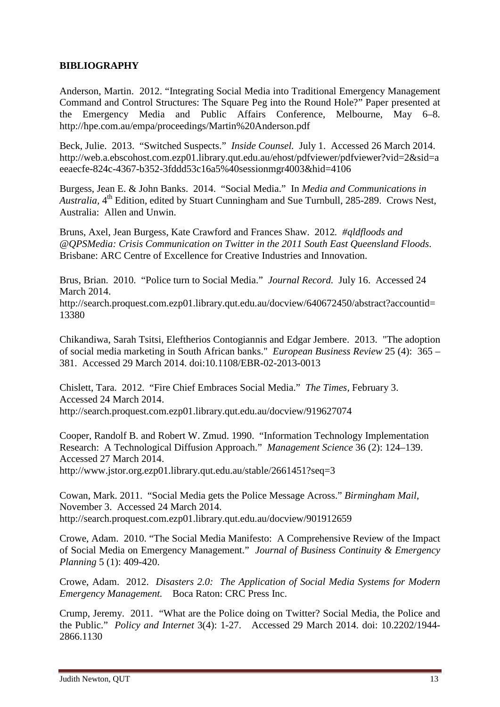# **BIBLIOGRAPHY**

Anderson, Martin. 2012. "Integrating Social Media into Traditional Emergency Management Command and Control Structures: The Square Peg into the Round Hole?" Paper presented at the Emergency Media and Public Affairs Conference, Melbourne, May 6–8. http://hpe.com.au/empa/proceedings/Martin%20Anderson.pdf

Beck, Julie. 2013. "Switched Suspects." *Inside Counsel.* July 1. Accessed 26 March 2014. http://web.a.ebscohost.com.ezp01.library.qut.edu.au/ehost/pdfviewer/pdfviewer?vid=2&sid=a eeaecfe-824c-4367-b352-3fddd53c16a5%40sessionmgr4003&hid=4106

Burgess, Jean E. & John Banks. 2014. "Social Media." In *Media and Communications in Australia,* 4<sup>th</sup> Edition, edited by Stuart Cunningham and Sue Turnbull, 285-289. Crows Nest, Australia: Allen and Unwin.

Bruns, Axel, Jean Burgess, Kate Crawford and Frances Shaw. 2012*. #qldfloods and @QPSMedia: Crisis Communication on Twitter in the 2011 South East Queensland Floods*. Brisbane: ARC Centre of Excellence for Creative Industries and Innovation.

Brus, Brian. 2010. "Police turn to Social Media." *Journal Record.* July 16. Accessed 24 March 2014.

http://search.proquest.com.ezp01.library.qut.edu.au/docview/640672450/abstract?accountid= 13380

Chikandiwa, Sarah Tsitsi, Eleftherios Contogiannis and Edgar Jembere. 2013. "The adoption of social media marketing in South African banks." *European Business Review* 25 (4): 365 – 381. Accessed 29 March 2014. doi:10.1108/EBR-02-2013-0013

Chislett, Tara. 2012. "Fire Chief Embraces Social Media." *The Times,* February 3. Accessed 24 March 2014. http://search.proquest.com.ezp01.library.qut.edu.au/docview/919627074

Cooper, Randolf B. and Robert W. Zmud. 1990. "Information Technology Implementation Research: A Technological Diffusion Approach." *Management Science* 36 (2): 124–139. Accessed 27 March 2014.

http://www.jstor.org.ezp01.library.qut.edu.au/stable/2661451?seq=3

Cowan, Mark. 2011. "Social Media gets the Police Message Across." *Birmingham Mail,*  November 3. Accessed 24 March 2014. http://search.proquest.com.ezp01.library.qut.edu.au/docview/901912659

Crowe, Adam. 2010. "The Social Media Manifesto: A Comprehensive Review of the Impact of Social Media on Emergency Management." *Journal of Business Continuity & Emergency Planning* 5 (1): 409-420.

Crowe, Adam. 2012. *Disasters 2.0: The Application of Social Media Systems for Modern Emergency Management.* Boca Raton: CRC Press Inc.

Crump, Jeremy. 2011. "What are the Police doing on Twitter? Social Media, the Police and the Public." *Policy and Internet* 3(4): 1-27. Accessed 29 March 2014. doi: 10.2202/1944- 2866.1130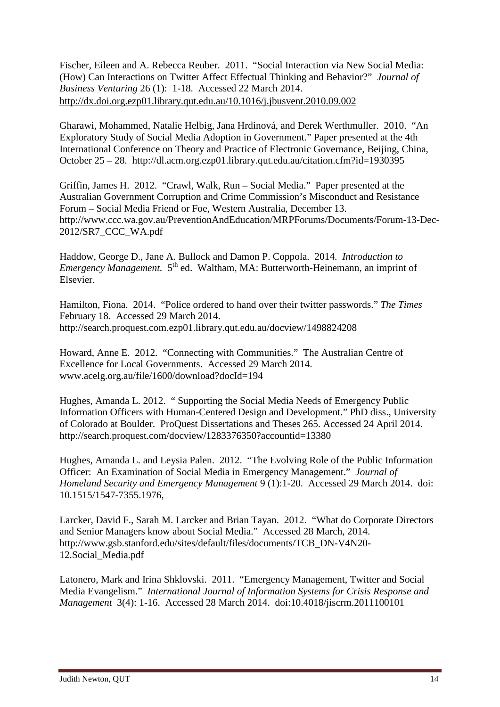Fischer, Eileen and A. Rebecca Reuber. 2011. "Social Interaction via New Social Media: (How) Can Interactions on Twitter Affect Effectual Thinking and Behavior?" *Journal of Business Venturing* 26 (1): 1-18. Accessed 22 March 2014. <http://dx.doi.org.ezp01.library.qut.edu.au/10.1016/j.jbusvent.2010.09.002>

Gharawi, Mohammed, Natalie Helbig, Jana Hrdinová, and Derek Werthmuller. 2010. "An Exploratory Study of Social Media Adoption in Government." Paper presented at the 4th International Conference on Theory and Practice of Electronic Governance, Beijing, China, October 25 – 28. http://dl.acm.org.ezp01.library.qut.edu.au/citation.cfm?id=1930395

Griffin, James H. 2012. "Crawl, Walk, Run – Social Media." Paper presented at the Australian Government Corruption and Crime Commission's Misconduct and Resistance Forum – Social Media Friend or Foe, Western Australia, December 13. http://www.ccc.wa.gov.au/PreventionAndEducation/MRPForums/Documents/Forum-13-Dec-2012/SR7\_CCC\_WA.pdf

Haddow, George D., Jane A. Bullock and Damon P. Coppola. 2014. *Introduction to Emergency Management.* 5<sup>th</sup> ed. Waltham, MA: Butterworth-Heinemann, an imprint of Elsevier.

Hamilton, Fiona. 2014. "Police ordered to hand over their twitter passwords." *The Times*  February 18. Accessed 29 March 2014. http://search.proquest.com.ezp01.library.qut.edu.au/docview/1498824208

Howard, Anne E. 2012. "Connecting with Communities." The Australian Centre of Excellence for Local Governments. Accessed 29 March 2014. www.acelg.org.au/file/1600/download?docId=194

Hughes, Amanda L. 2012. " Supporting the Social Media Needs of Emergency Public Information Officers with Human-Centered Design and Development." PhD diss., University of Colorado at Boulder. ProQuest Dissertations and Theses 265. Accessed 24 April 2014. http://search.proquest.com/docview/1283376350?accountid=13380

Hughes, Amanda L. and Leysia Palen. 2012. "The Evolving Role of the Public Information Officer: An Examination of Social Media in Emergency Management." *Journal of Homeland Security and Emergency Management* 9 (1):1-20. Accessed 29 March 2014. doi: 10.1515/1547-7355.1976,

Larcker, David F., Sarah M. Larcker and Brian Tayan. 2012. "What do Corporate Directors and Senior Managers know about Social Media." Accessed 28 March, 2014. http://www.gsb.stanford.edu/sites/default/files/documents/TCB\_DN-V4N20- 12.Social\_Media.pdf

Latonero, Mark and Irina Shklovski. 2011. "Emergency Management, Twitter and Social Media Evangelism." *[International Journal of Information Systems for Crisis Response and](http://www.igi-global.com.ezp01.library.qut.edu.au/gateway/journal/1119)  [Management](http://www.igi-global.com.ezp01.library.qut.edu.au/gateway/journal/1119)* [3\(4\):](http://www.igi-global.com.ezp01.library.qut.edu.au/gateway/issue/48112) 1-16. Accessed 28 March 2014. doi:10.4018/jiscrm.2011100101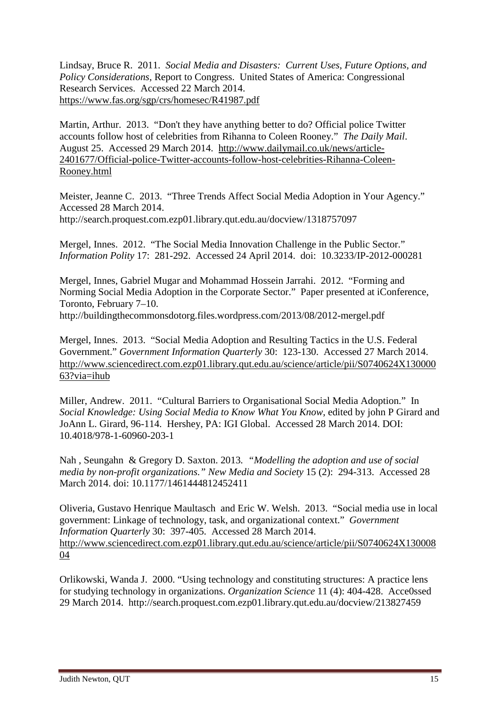Lindsay, Bruce R. 2011. *Social Media and Disasters: Current Uses, Future Options, and Policy Considerations,* Report to Congress. United States of America: Congressional Research Services. Accessed 22 March 2014. <https://www.fas.org/sgp/crs/homesec/R41987.pdf>

Martin, Arthur. 2013. "Don't they have anything better to do? Official police Twitter accounts follow host of celebrities from Rihanna to Coleen Rooney." *The Daily Mail*. August 25. Accessed 29 March 2014. [http://www.dailymail.co.uk/news/article-](http://www.dailymail.co.uk/news/article-2401677/Official-police-Twitter-accounts-follow-host-celebrities-Rihanna-Coleen-Rooney.html)[2401677/Official-police-Twitter-accounts-follow-host-celebrities-Rihanna-Coleen-](http://www.dailymail.co.uk/news/article-2401677/Official-police-Twitter-accounts-follow-host-celebrities-Rihanna-Coleen-Rooney.html)[Rooney.html](http://www.dailymail.co.uk/news/article-2401677/Official-police-Twitter-accounts-follow-host-celebrities-Rihanna-Coleen-Rooney.html)

Meister, Jeanne C. 2013. "Three Trends Affect Social Media Adoption in Your Agency." Accessed 28 March 2014. http://search.proquest.com.ezp01.library.qut.edu.au/docview/1318757097

Mergel, Innes. 2012. "The Social Media Innovation Challenge in the Public Sector." *Information Polity* 17: 281-292. Accessed 24 April 2014. doi: 10.3233/IP-2012-000281

Mergel, Innes, Gabriel Mugar and Mohammad Hossein Jarrahi. 2012. "Forming and Norming Social Media Adoption in the Corporate Sector." Paper presented at iConference, Toronto, February 7–10.

http://buildingthecommonsdotorg.files.wordpress.com/2013/08/2012-mergel.pdf

Mergel, Innes. 2013. "Social Media Adoption and Resulting Tactics in the U.S. Federal Government." *Government Information Quarterly* 30: 123-130. Accessed 27 March 2014. [http://www.sciencedirect.com.ezp01.library.qut.edu.au/science/article/pii/S0740624X130000](http://www.sciencedirect.com.ezp01.library.qut.edu.au/science/article/pii/S0740624X13000063?via=ihub) [63?via=ihub](http://www.sciencedirect.com.ezp01.library.qut.edu.au/science/article/pii/S0740624X13000063?via=ihub)

Miller, Andrew. 2011. "Cultural Barriers to Organisational Social Media Adoption." In *Social Knowledge: Using Social Media to Know What You Know*, edited by john P Girard and JoAnn L. Girard, 96-114. Hershey, PA: IGI Global. Accessed 28 March 2014. DOI: 10.4018/978-1-60960-203-1

Nah , Seungahn & Gregory D. Saxton. 2013*. "Modelling the adoption and use of social media by non-profit organizations." New Media and Society* 15 (2): 294-313. Accessed 28 March 2014. doi: 10.1177/1461444812452411

Oliveria, Gustavo Henrique Maultasch and Eric W. Welsh. 2013. "Social media use in local government: Linkage of technology, task, and organizational context." *Government Information Quarterly* 30: 397-405. Accessed 28 March 2014. [http://www.sciencedirect.com.ezp01.library.qut.edu.au/science/article/pii/S0740624X130008](http://www.sciencedirect.com.ezp01.library.qut.edu.au/science/article/pii/S0740624X13000804) [04](http://www.sciencedirect.com.ezp01.library.qut.edu.au/science/article/pii/S0740624X13000804)

Orlikowski, Wanda J. 2000. "Using technology and constituting structures: A practice lens for studying technology in organizations. *Organization Science* 11 (4): 404-428. Acce0ssed 29 March 2014. http://search.proquest.com.ezp01.library.qut.edu.au/docview/213827459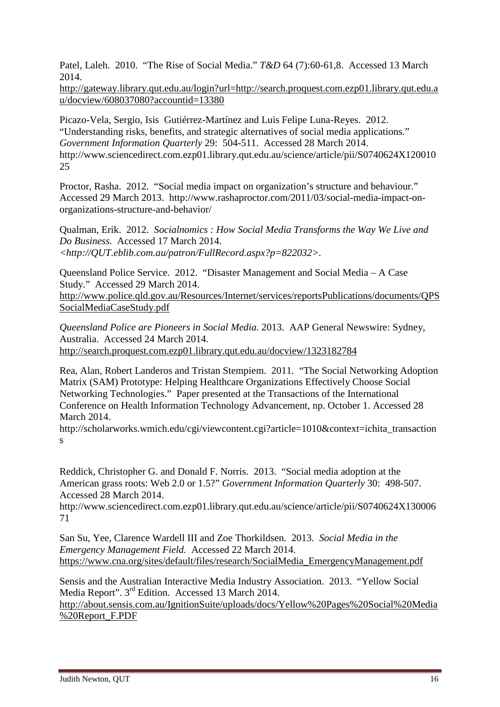Patel, Laleh. 2010. "The Rise of Social Media." *T&D* 64 (7):60-61,8. Accessed 13 March 2014.

[http://gateway.library.qut.edu.au/login?url=http://search.proquest.com.ezp01.library.qut.edu.a](http://gateway.library.qut.edu.au/login?url=http://search.proquest.com.ezp01.library.qut.edu.au/docview/608037080?accountid=13380) [u/docview/608037080?accountid=13380](http://gateway.library.qut.edu.au/login?url=http://search.proquest.com.ezp01.library.qut.edu.au/docview/608037080?accountid=13380)

Picazo-Vela, Sergio, Isis Gutiérrez-Martínez and Luis Felipe Luna-Reyes. 2012. "Understanding risks, benefits, and strategic alternatives of social media applications." *Government Information Quarterly* 29: 504-511. Accessed 28 March 2014. http://www.sciencedirect.com.ezp01.library.qut.edu.au/science/article/pii/S0740624X120010 25

Proctor, Rasha. 2012. "Social media impact on organization's structure and behaviour." Accessed 29 March 2013. http://www.rashaproctor.com/2011/03/social-media-impact-onorganizations-structure-and-behavior/

Qualman, Erik. 2012. *Socialnomics : How Social Media Transforms the Way We Live and Do Business.* Accessed 17 March 2014. *<http://QUT.eblib.com.au/patron/FullRecord.aspx?p=822032>.*

Queensland Police Service. 2012. "Disaster Management and Social Media – A Case Study." Accessed 29 March 2014.

[http://www.police.qld.gov.au/Resources/Internet/services/reportsPublications/documents/QPS](http://www.police.qld.gov.au/Resources/Internet/services/reportsPublications/documents/QPSSocialMediaCaseStudy.pdf) [SocialMediaCaseStudy.pdf](http://www.police.qld.gov.au/Resources/Internet/services/reportsPublications/documents/QPSSocialMediaCaseStudy.pdf)

*Queensland Police are Pioneers in Social Media.* 2013. AAP General Newswire: Sydney, Australia. Accessed 24 March 2014. <http://search.proquest.com.ezp01.library.qut.edu.au/docview/1323182784>

Rea, Alan, Robert Landeros and Tristan Stempiem. 2011. "The Social Networking Adoption Matrix (SAM) Prototype: Helping Healthcare Organizations Effectively Choose Social Networking Technologies." Paper presented at the Transactions of the International Conference on Health Information Technology Advancement, np. October 1. Accessed 28 March 2014.

http://scholarworks.wmich.edu/cgi/viewcontent.cgi?article=1010&context=ichita\_transaction s

Reddick, Christopher G. and Donald F. Norris. 2013. "Social media adoption at the American grass roots: Web 2.0 or 1.5?" *Government Information Quarterly* 30: 498-507. Accessed 28 March 2014.

http://www.sciencedirect.com.ezp01.library.qut.edu.au/science/article/pii/S0740624X130006 71

San Su, Yee, Clarence Wardell III and Zoe Thorkildsen. 2013. *Social Media in the Emergency Management Field.* Accessed 22 March 2014. [https://www.cna.org/sites/default/files/research/SocialMedia\\_EmergencyManagement.pdf](https://www.cna.org/sites/default/files/research/SocialMedia_EmergencyManagement.pdf)

Sensis and the Australian Interactive Media Industry Association. 2013. "Yellow Social Media Report". 3<sup>rd</sup> Edition. Accessed 13 March 2014.

[http://about.sensis.com.au/IgnitionSuite/uploads/docs/Yellow%20Pages%20Social%20Media](http://about.sensis.com.au/IgnitionSuite/uploads/docs/Yellow%20Pages%20Social%20Media%20Report_F.PDF) [%20Report\\_F.PDF](http://about.sensis.com.au/IgnitionSuite/uploads/docs/Yellow%20Pages%20Social%20Media%20Report_F.PDF)